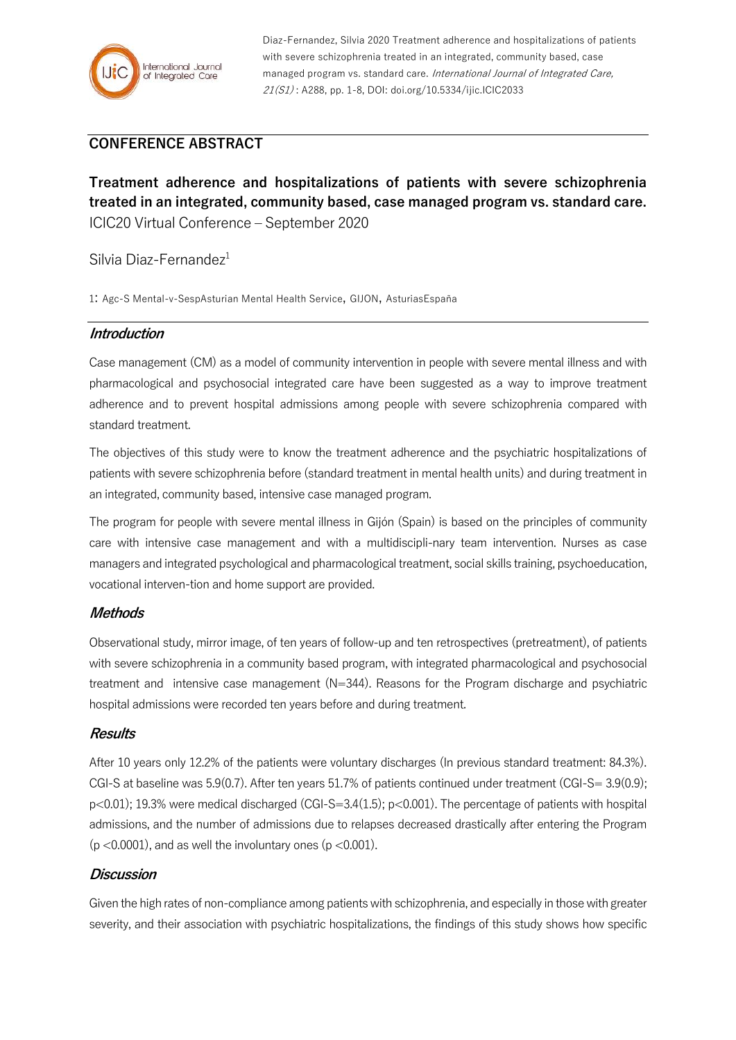

Diaz-Fernandez, Silvia 2020 Treatment adherence and hospitalizations of patients with severe schizophrenia treated in an integrated, community based, case managed program vs. standard care. International Journal of Integrated Care, 21(S1) : A288, pp. 1-8, DOI: doi.org/10.5334/ijic.ICIC2033

# **CONFERENCE ABSTRACT**

**Treatment adherence and hospitalizations of patients with severe schizophrenia treated in an integrated, community based, case managed program vs. standard care.** ICIC20 Virtual Conference – September 2020

# Silvia Diaz-Fernandez<sup>1</sup>

1: Agc-S Mental-v-SespAsturian Mental Health Service, GIJON, AsturiasEspaña

## **Introduction**

Case management (CM) as a model of community intervention in people with severe mental illness and with pharmacological and psychosocial integrated care have been suggested as a way to improve treatment adherence and to prevent hospital admissions among people with severe schizophrenia compared with standard treatment.

The objectives of this study were to know the treatment adherence and the psychiatric hospitalizations of patients with severe schizophrenia before (standard treatment in mental health units) and during treatment in an integrated, community based, intensive case managed program.

The program for people with severe mental illness in Gijón (Spain) is based on the principles of community care with intensive case management and with a multidiscipli-nary team intervention. Nurses as case managers and integrated psychological and pharmacological treatment, social skills training, psychoeducation, vocational interven-tion and home support are provided.

### **Methods**

Observational study, mirror image, of ten years of follow-up and ten retrospectives (pretreatment), of patients with severe schizophrenia in a community based program, with integrated pharmacological and psychosocial treatment and intensive case management (N=344). Reasons for the Program discharge and psychiatric hospital admissions were recorded ten years before and during treatment.

### **Results**

After 10 years only 12.2% of the patients were voluntary discharges (In previous standard treatment: 84.3%). CGI-S at baseline was 5.9(0.7). After ten years 51.7% of patients continued under treatment (CGI-S= 3.9(0.9); p<0.01); 19.3% were medical discharged (CGI-S=3.4(1.5); p<0.001). The percentage of patients with hospital admissions, and the number of admissions due to relapses decreased drastically after entering the Program  $(p < 0.0001)$ , and as well the involuntary ones  $(p < 0.001)$ .

# **Discussion**

Given the high rates of non-compliance among patients with schizophrenia, and especially in those with greater severity, and their association with psychiatric hospitalizations, the findings of this study shows how specific